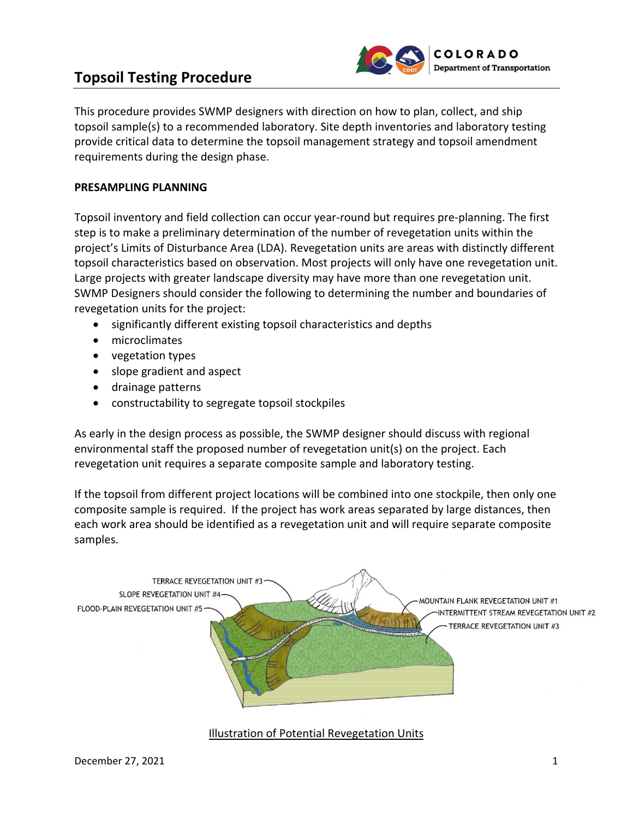# **Topsoil Testing Procedure** *Conserversion*



This procedure provides SWMP designers with direction on how to plan, collect, and ship topsoil sample(s) to a recommended laboratory. Site depth inventories and laboratory testing provide critical data to determine the topsoil management strategy and topsoil amendment requirements during the design phase.

## **PRESAMPLING PLANNING**

Topsoil inventory and field collection can occur year‐round but requires pre‐planning. The first step is to make a preliminary determination of the number of revegetation units within the project's Limits of Disturbance Area (LDA). Revegetation units are areas with distinctly different topsoil characteristics based on observation. Most projects will only have one revegetation unit. Large projects with greater landscape diversity may have more than one revegetation unit. SWMP Designers should consider the following to determining the number and boundaries of revegetation units for the project:

- significantly different existing topsoil characteristics and depths
- microclimates
- vegetation types
- slope gradient and aspect
- drainage patterns
- constructability to segregate topsoil stockpiles

As early in the design process as possible, the SWMP designer should discuss with regional environmental staff the proposed number of revegetation unit(s) on the project. Each revegetation unit requires a separate composite sample and laboratory testing.

If the topsoil from different project locations will be combined into one stockpile, then only one composite sample is required. If the project has work areas separated by large distances, then each work area should be identified as a revegetation unit and will require separate composite samples.



Illustration of Potential Revegetation Units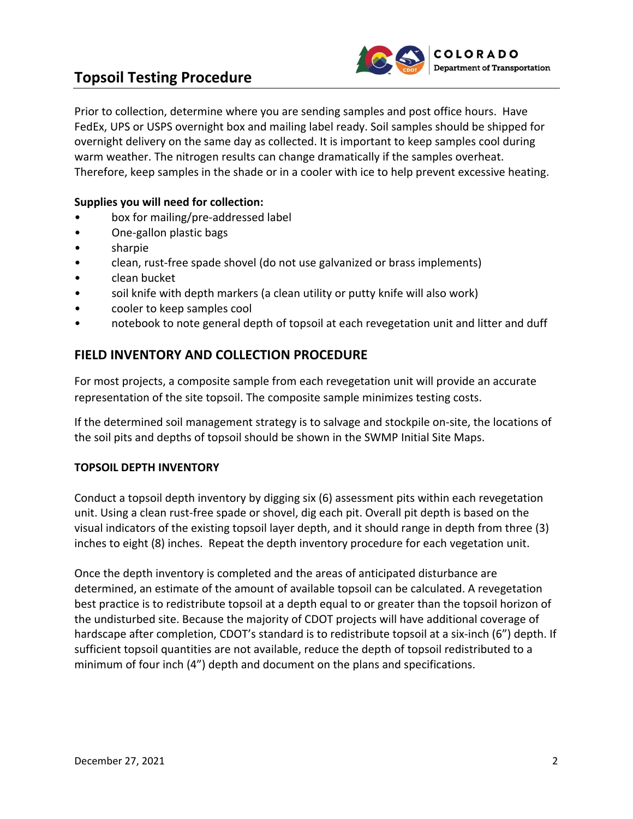

Prior to collection, determine where you are sending samples and post office hours. Have FedEx, UPS or USPS overnight box and mailing label ready. Soil samples should be shipped for overnight delivery on the same day as collected. It is important to keep samples cool during warm weather. The nitrogen results can change dramatically if the samples overheat. Therefore, keep samples in the shade or in a cooler with ice to help prevent excessive heating.

## **Supplies you will need for collection:**

- box for mailing/pre‐addressed label
- One‐gallon plastic bags
- sharpie
- clean, rust-free spade shovel (do not use galvanized or brass implements)
- clean bucket
- soil knife with depth markers (a clean utility or putty knife will also work)
- cooler to keep samples cool
- notebook to note general depth of topsoil at each revegetation unit and litter and duff

# **FIELD INVENTORY AND COLLECTION PROCEDURE**

For most projects, a composite sample from each revegetation unit will provide an accurate representation of the site topsoil. The composite sample minimizes testing costs.

If the determined soil management strategy is to salvage and stockpile on‐site, the locations of the soil pits and depths of topsoil should be shown in the SWMP Initial Site Maps.

### **TOPSOIL DEPTH INVENTORY**

Conduct a topsoil depth inventory by digging six (6) assessment pits within each revegetation unit. Using a clean rust‐free spade or shovel, dig each pit. Overall pit depth is based on the visual indicators of the existing topsoil layer depth, and it should range in depth from three (3) inches to eight (8) inches. Repeat the depth inventory procedure for each vegetation unit.

Once the depth inventory is completed and the areas of anticipated disturbance are determined, an estimate of the amount of available topsoil can be calculated. A revegetation best practice is to redistribute topsoil at a depth equal to or greater than the topsoil horizon of the undisturbed site. Because the majority of CDOT projects will have additional coverage of hardscape after completion, CDOT's standard is to redistribute topsoil at a six-inch (6") depth. If sufficient topsoil quantities are not available, reduce the depth of topsoil redistributed to a minimum of four inch (4") depth and document on the plans and specifications.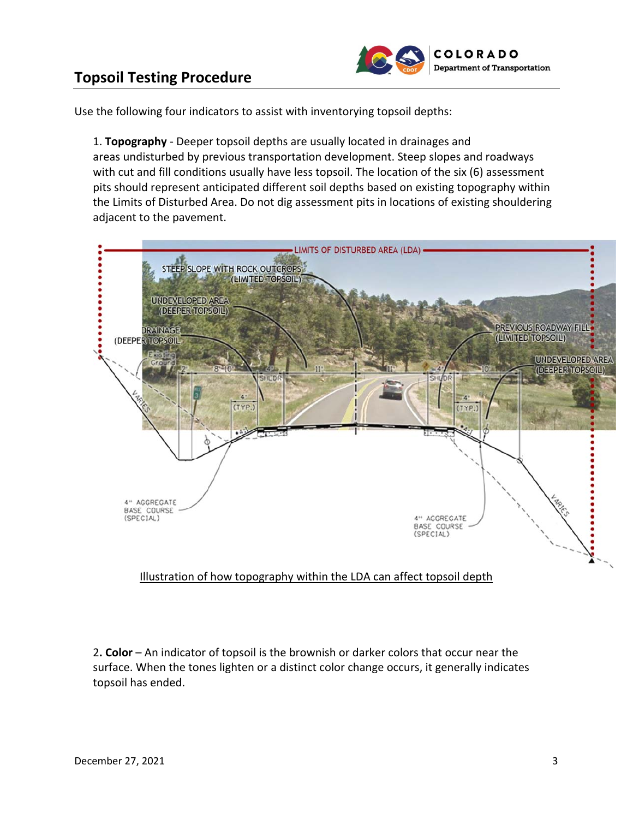



Use the following four indicators to assist with inventorying topsoil depths:

1. **Topography** ‐ Deeper topsoil depths are usually located in drainages and areas undisturbed by previous transportation development. Steep slopes and roadways with cut and fill conditions usually have less topsoil. The location of the six (6) assessment pits should represent anticipated different soil depths based on existing topography within the Limits of Disturbed Area. Do not dig assessment pits in locations of existing shouldering adjacent to the pavement.



# Illustration of how topography within the LDA can affect topsoil depth

2**. Color** – An indicator of topsoil is the brownish or darker colors that occur near the surface. When the tones lighten or a distinct color change occurs, it generally indicates topsoil has ended.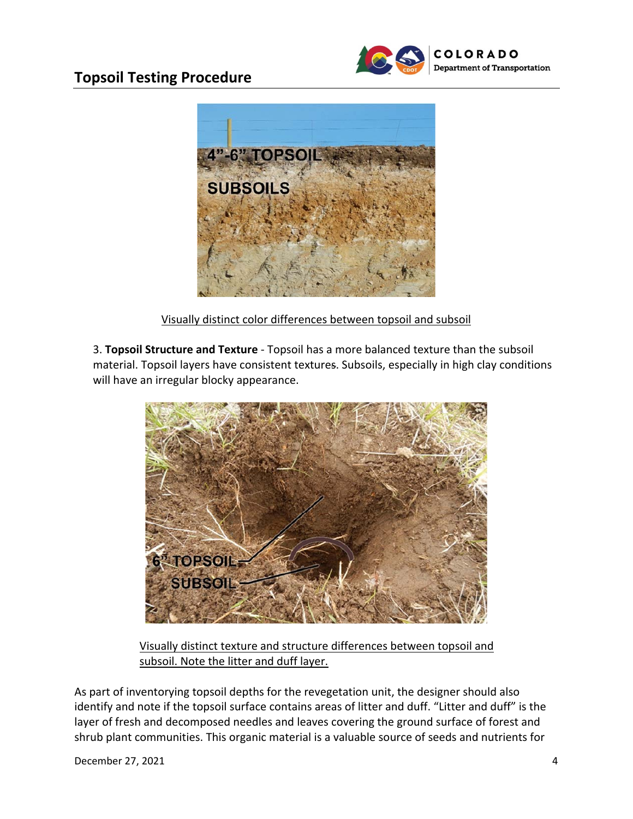# **Topsoil Testing Procedure** *Topsoil* Department of Transportation





Visually distinct color differences between topsoil and subsoil

3. **Topsoil Structure and Texture** ‐ Topsoil has a more balanced texture than the subsoil material. Topsoil layers have consistent textures. Subsoils, especially in high clay conditions will have an irregular blocky appearance.



Visually distinct texture and structure differences between topsoil and subsoil. Note the litter and duff layer.

As part of inventorying topsoil depths for the revegetation unit, the designer should also identify and note if the topsoil surface contains areas of litter and duff. "Litter and duff" is the layer of fresh and decomposed needles and leaves covering the ground surface of forest and shrub plant communities. This organic material is a valuable source of seeds and nutrients for

 $D$ ecember 27, 2021  $\overline{4}$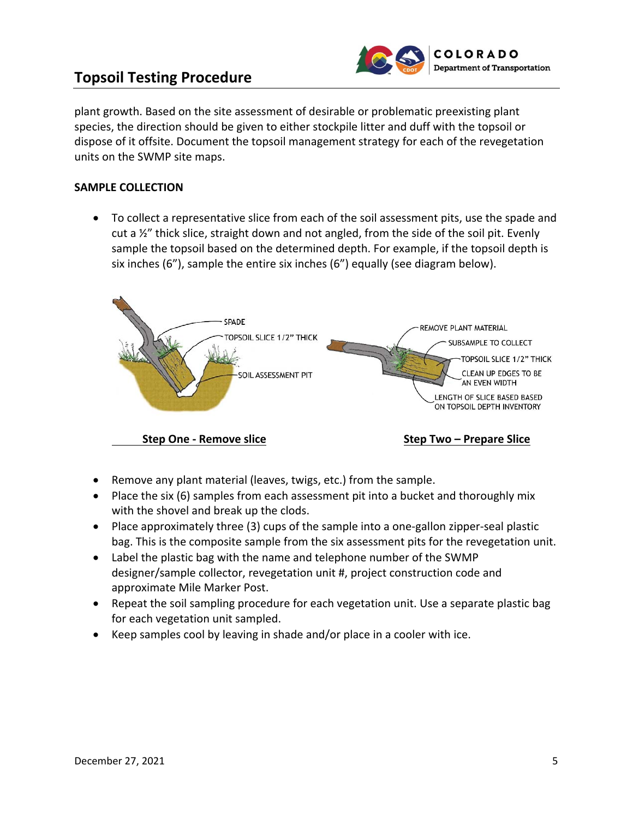

plant growth. Based on the site assessment of desirable or problematic preexisting plant species, the direction should be given to either stockpile litter and duff with the topsoil or dispose of it offsite. Document the topsoil management strategy for each of the revegetation units on the SWMP site maps.

## **SAMPLE COLLECTION**

 To collect a representative slice from each of the soil assessment pits, use the spade and cut a ½" thick slice, straight down and not angled, from the side of the soil pit. Evenly sample the topsoil based on the determined depth. For example, if the topsoil depth is six inches (6"), sample the entire six inches (6") equally (see diagram below).



- Remove any plant material (leaves, twigs, etc.) from the sample.
- Place the six (6) samples from each assessment pit into a bucket and thoroughly mix with the shovel and break up the clods.
- Place approximately three (3) cups of the sample into a one-gallon zipper-seal plastic bag. This is the composite sample from the six assessment pits for the revegetation unit.
- Label the plastic bag with the name and telephone number of the SWMP designer/sample collector, revegetation unit #, project construction code and approximate Mile Marker Post.
- Repeat the soil sampling procedure for each vegetation unit. Use a separate plastic bag for each vegetation unit sampled.
- Keep samples cool by leaving in shade and/or place in a cooler with ice.